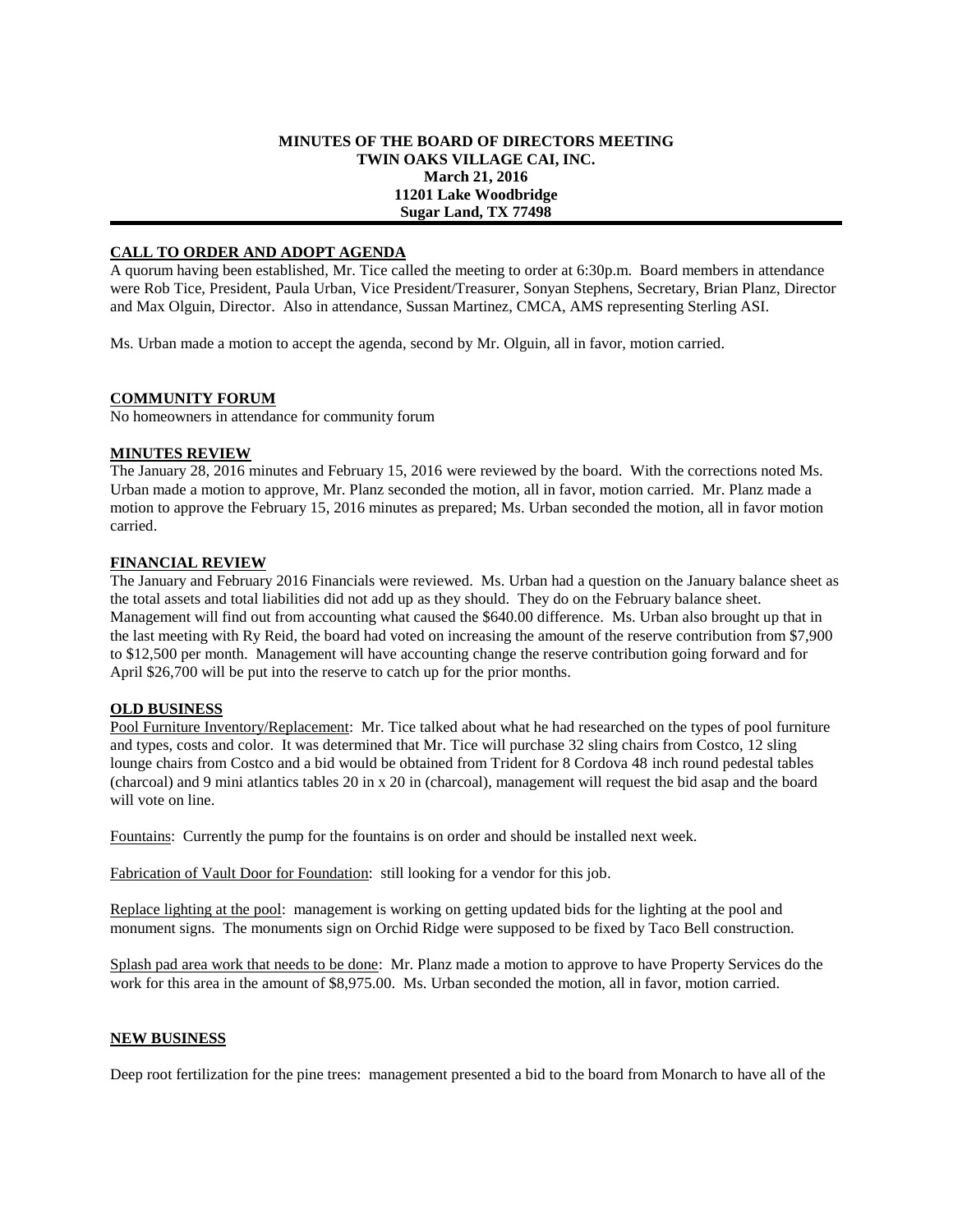### **MINUTES OF THE BOARD OF DIRECTORS MEETING TWIN OAKS VILLAGE CAI, INC. March 21, 2016 11201 Lake Woodbridge Sugar Land, TX 77498**

## **CALL TO ORDER AND ADOPT AGENDA**

A quorum having been established, Mr. Tice called the meeting to order at 6:30p.m. Board members in attendance were Rob Tice, President, Paula Urban, Vice President/Treasurer, Sonyan Stephens, Secretary, Brian Planz, Director and Max Olguin, Director. Also in attendance, Sussan Martinez, CMCA, AMS representing Sterling ASI.

Ms. Urban made a motion to accept the agenda, second by Mr. Olguin, all in favor, motion carried.

## **COMMUNITY FORUM**

No homeowners in attendance for community forum

### **MINUTES REVIEW**

The January 28, 2016 minutes and February 15, 2016 were reviewed by the board. With the corrections noted Ms. Urban made a motion to approve, Mr. Planz seconded the motion, all in favor, motion carried. Mr. Planz made a motion to approve the February 15, 2016 minutes as prepared; Ms. Urban seconded the motion, all in favor motion carried.

### **FINANCIAL REVIEW**

The January and February 2016 Financials were reviewed. Ms. Urban had a question on the January balance sheet as the total assets and total liabilities did not add up as they should. They do on the February balance sheet. Management will find out from accounting what caused the \$640.00 difference. Ms. Urban also brought up that in the last meeting with Ry Reid, the board had voted on increasing the amount of the reserve contribution from \$7,900 to \$12,500 per month. Management will have accounting change the reserve contribution going forward and for April \$26,700 will be put into the reserve to catch up for the prior months.

## **OLD BUSINESS**

Pool Furniture Inventory/Replacement: Mr. Tice talked about what he had researched on the types of pool furniture and types, costs and color. It was determined that Mr. Tice will purchase 32 sling chairs from Costco, 12 sling lounge chairs from Costco and a bid would be obtained from Trident for 8 Cordova 48 inch round pedestal tables (charcoal) and 9 mini atlantics tables 20 in x 20 in (charcoal), management will request the bid asap and the board will vote on line.

Fountains: Currently the pump for the fountains is on order and should be installed next week.

Fabrication of Vault Door for Foundation: still looking for a vendor for this job.

Replace lighting at the pool: management is working on getting updated bids for the lighting at the pool and monument signs. The monuments sign on Orchid Ridge were supposed to be fixed by Taco Bell construction.

Splash pad area work that needs to be done: Mr. Planz made a motion to approve to have Property Services do the work for this area in the amount of \$8,975.00. Ms. Urban seconded the motion, all in favor, motion carried.

#### **NEW BUSINESS**

Deep root fertilization for the pine trees: management presented a bid to the board from Monarch to have all of the